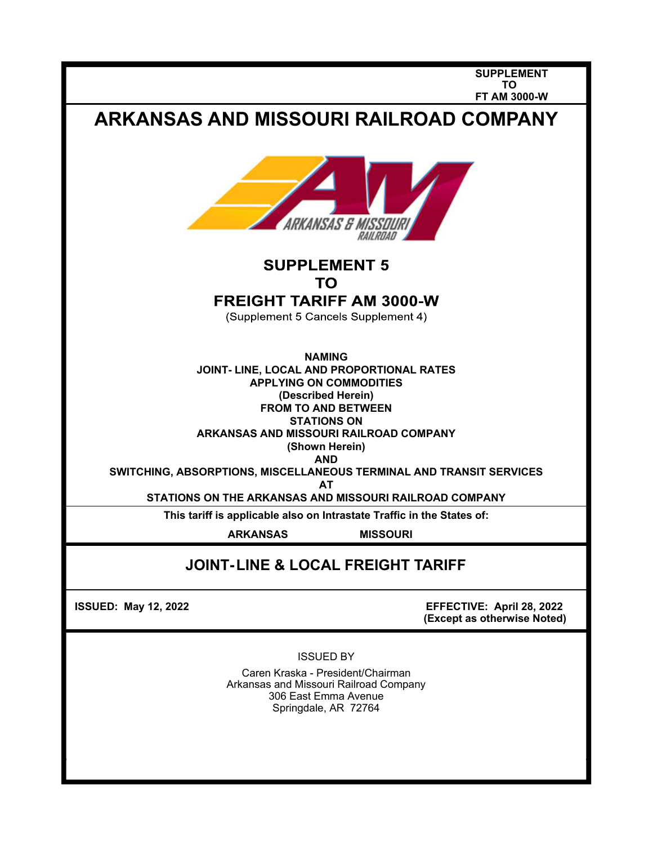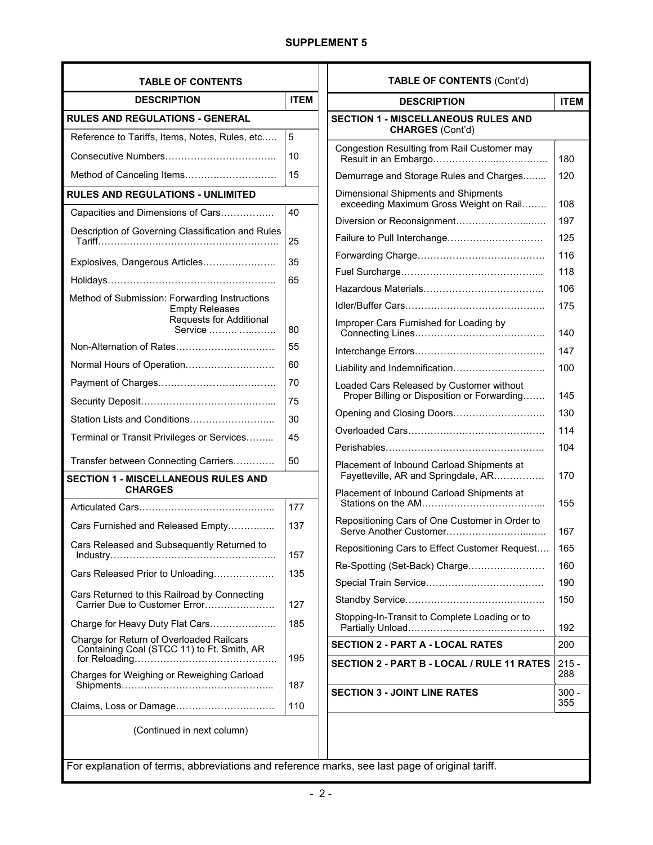# **SUPPLEMENT 5**

| <b>TABLE OF CONTENTS</b>                                                                                            |             |  |  |  |
|---------------------------------------------------------------------------------------------------------------------|-------------|--|--|--|
| <b>DESCRIPTION</b>                                                                                                  | <b>ITEM</b> |  |  |  |
| <b>RULES AND REGULATIONS - GENERAL</b>                                                                              |             |  |  |  |
| Reference to Tariffs, Items, Notes, Rules, etc                                                                      | 5           |  |  |  |
|                                                                                                                     | 10          |  |  |  |
| Method of Canceling Items                                                                                           | 15          |  |  |  |
| <b>RULES AND REGULATIONS - UNLIMITED</b>                                                                            |             |  |  |  |
| Capacities and Dimensions of Cars                                                                                   | 40          |  |  |  |
| Description of Governing Classification and Rules                                                                   | 25          |  |  |  |
| Explosives, Dangerous Articles                                                                                      | 35          |  |  |  |
|                                                                                                                     | 65          |  |  |  |
| Method of Submission: Forwarding Instructions<br><b>Empty Releases</b><br><b>Requests for Additional</b><br>Service | 80          |  |  |  |
| Non-Alternation of Rates                                                                                            | 55          |  |  |  |
| Normal Hours of Operation                                                                                           | 60          |  |  |  |
|                                                                                                                     | 70          |  |  |  |
|                                                                                                                     | 75          |  |  |  |
| Station Lists and Conditions                                                                                        | 30          |  |  |  |
| Terminal or Transit Privileges or Services                                                                          | 45          |  |  |  |
| Transfer between Connecting Carriers                                                                                | 50          |  |  |  |
| <b>SECTION 1 - MISCELLANEOUS RULES AND</b><br><b>CHARGES</b>                                                        |             |  |  |  |
|                                                                                                                     | 177         |  |  |  |
| Cars Furnished and Released Empty                                                                                   | 137         |  |  |  |
| Cars Released and Subsequently Returned to                                                                          | 157         |  |  |  |
| Cars Released Prior to Unloading                                                                                    | 135         |  |  |  |
| Cars Returned to this Railroad by Connecting<br>Carrier Due to Customer Error                                       | 127         |  |  |  |
| Charge for Heavy Duty Flat Cars                                                                                     | 185         |  |  |  |
| Charge for Return of Overloaded Railcars<br>Containing Coal (STCC 11) to Ft. Smith, AR                              | 195         |  |  |  |
| Charges for Weighing or Reweighing Carload                                                                          | 187         |  |  |  |
| Claims, Loss or Damage                                                                                              | 110         |  |  |  |
| (Continued in next column)                                                                                          |             |  |  |  |

| <b>TABLE OF CONTENTS (Cont'd)</b>                                                       |                |  |  |  |
|-----------------------------------------------------------------------------------------|----------------|--|--|--|
| <b>DESCRIPTION</b>                                                                      | <b>ITEM</b>    |  |  |  |
| <b>SECTION 1 - MISCELLANEOUS RULES AND</b><br><b>CHARGES (Cont'd)</b>                   |                |  |  |  |
| Congestion Resulting from Rail Customer may                                             | 180            |  |  |  |
| Demurrage and Storage Rules and Charges                                                 | 120            |  |  |  |
| Dimensional Shipments and Shipments<br>exceeding Maximum Gross Weight on Rail           | 108            |  |  |  |
| Diversion or Reconsignment                                                              | 197            |  |  |  |
|                                                                                         | 125            |  |  |  |
|                                                                                         | 116            |  |  |  |
|                                                                                         | 118            |  |  |  |
|                                                                                         | 106            |  |  |  |
|                                                                                         | 175            |  |  |  |
| Improper Cars Furnished for Loading by                                                  | 140            |  |  |  |
|                                                                                         | 147            |  |  |  |
| Liability and Indemnification                                                           | 100            |  |  |  |
| Loaded Cars Released by Customer without<br>Proper Billing or Disposition or Forwarding | 145            |  |  |  |
| Opening and Closing Doors                                                               | 130            |  |  |  |
|                                                                                         | 114            |  |  |  |
|                                                                                         | 104            |  |  |  |
| Placement of Inbound Carload Shipments at<br>Fayetteville, AR and Springdale, AR        | 170            |  |  |  |
| Placement of Inbound Carload Shipments at                                               | 155            |  |  |  |
| Repositioning Cars of One Customer in Order to<br>Serve Another Customer                | 167            |  |  |  |
| Repositioning Cars to Effect Customer Request                                           | 165            |  |  |  |
| Re-Spotting (Set-Back) Charge                                                           | 160            |  |  |  |
|                                                                                         | 190            |  |  |  |
|                                                                                         | 150            |  |  |  |
| Stopping-In-Transit to Complete Loading or to                                           | 192            |  |  |  |
| <b>SECTION 2 - PART A - LOCAL RATES</b>                                                 | 200            |  |  |  |
| <b>SECTION 2 - PART B - LOCAL / RULE 11 RATES</b>                                       | 215 -<br>288   |  |  |  |
| <b>SECTION 3 - JOINT LINE RATES</b>                                                     | $300 -$<br>355 |  |  |  |

For explanation of terms, abbreviations and reference marks, see last page of original tariff.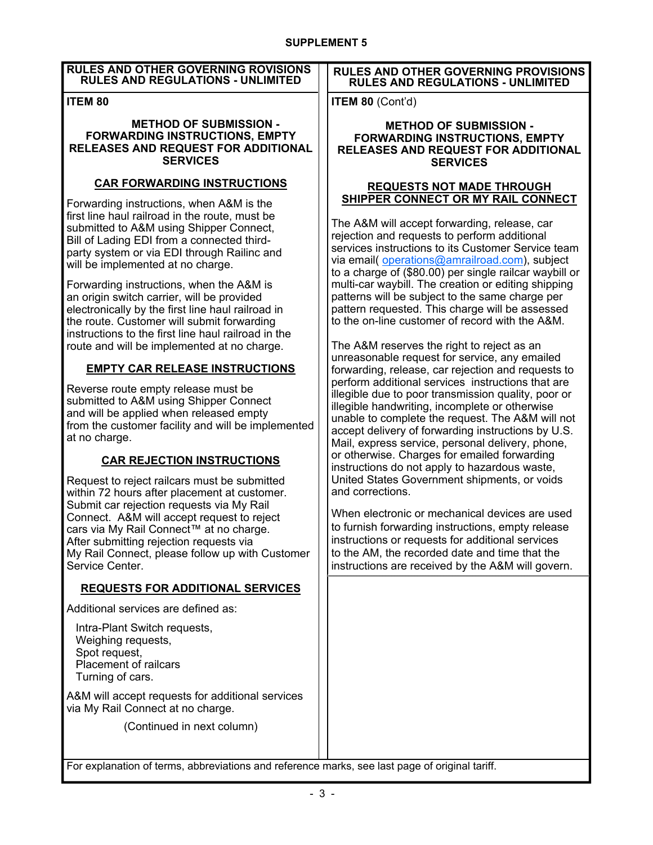### **RULES AND OTHER GOVERNING ROVISIONS RULES AND REGULATIONS - UNLIMITED**

## **ITEM 80**

#### **METHOD OF SUBMISSION - FORWARDING INSTRUCTIONS, EMPTY RELEASES AND REQUEST FOR ADDITIONAL SERVICES**

## **CAR FORWARDING INSTRUCTIONS**

Forwarding instructions, when A&M is the first line haul railroad in the route, must be submitted to A&M using Shipper Connect, Bill of Lading EDI from a connected thirdparty system or via EDI through Railinc and will be implemented at no charge.

Forwarding instructions, when the A&M is an origin switch carrier, will be provided electronically by the first line haul railroad in the route. Customer will submit forwarding instructions to the first line haul railroad in the route and will be implemented at no charge.

# **EMPTY CAR RELEASE INSTRUCTIONS**

Reverse route empty release must be submitted to A&M using Shipper Connect and will be applied when released empty from the customer facility and will be implemented at no charge.

# **CAR REJECTION INSTRUCTIONS**

Request to reject railcars must be submitted within 72 hours after placement at customer. Submit car rejection requests via My Rail Connect. A&M will accept request to reject cars via My Rail Connect™ at no charge. After submitting rejection requests via My Rail Connect, please follow up with Customer Service Center.

## **REQUESTS FOR ADDITIONAL SERVICES**

Additional services are defined as:

Intra-Plant Switch requests, Weighing requests, Spot request, Placement of railcars Turning of cars.

A&M will accept requests for additional services via My Rail Connect at no charge.

(Continued in next column)

### **RULES AND OTHER GOVERNING PROVISIONS RULES AND REGULATIONS - UNLIMITED**

**ITEM 80** (Cont'd)

### **METHOD OF SUBMISSION - FORWARDING INSTRUCTIONS, EMPTY RELEASES AND REQUEST FOR ADDITIONAL SERVICES**

### **REQUESTS NOT MADE THROUGH SHIPPER CONNECT OR MY RAIL CONNECT**

The A&M will accept forwarding, release, car rejection and requests to perform additional services instructions to its Customer Service team via email( operations@amrailroad.com), subject to a charge of (\$80.00) per single railcar waybill or multi-car waybill. The creation or editing shipping patterns will be subject to the same charge per pattern requested. This charge will be assessed to the on-line customer of record with the A&M.

The A&M reserves the right to reject as an unreasonable request for service, any emailed forwarding, release, car rejection and requests to perform additional services instructions that are illegible due to poor transmission quality, poor or illegible handwriting, incomplete or otherwise unable to complete the request. The A&M will not accept delivery of forwarding instructions by U.S. Mail, express service, personal delivery, phone, or otherwise. Charges for emailed forwarding instructions do not apply to hazardous waste, United States Government shipments, or voids and corrections.

When electronic or mechanical devices are used to furnish forwarding instructions, empty release instructions or requests for additional services to the AM, the recorded date and time that the instructions are received by the A&M will govern.

For explanation of terms, abbreviations and reference marks, see last page of original tariff.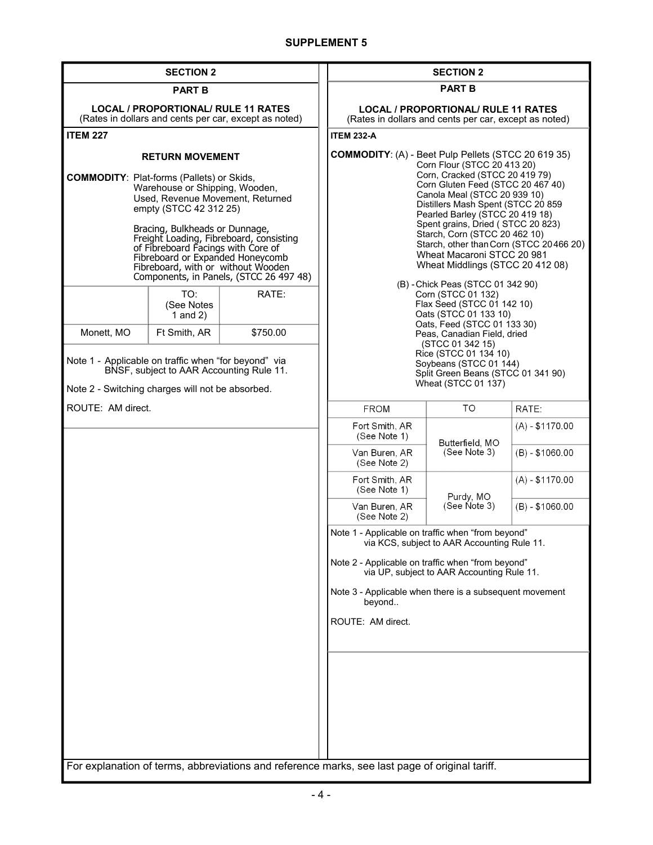| <b>SECTION 2</b>                                                                                                                                                                                                                                                                                                                                                                                                   |                                 | <b>SECTION 2</b>                                                                                                                                                                                                                                                                                                                                                                                                                                                                                  |                                                                                                                                         |  |                 |                  |
|--------------------------------------------------------------------------------------------------------------------------------------------------------------------------------------------------------------------------------------------------------------------------------------------------------------------------------------------------------------------------------------------------------------------|---------------------------------|---------------------------------------------------------------------------------------------------------------------------------------------------------------------------------------------------------------------------------------------------------------------------------------------------------------------------------------------------------------------------------------------------------------------------------------------------------------------------------------------------|-----------------------------------------------------------------------------------------------------------------------------------------|--|-----------------|------------------|
| <b>PART B</b>                                                                                                                                                                                                                                                                                                                                                                                                      |                                 | <b>PART B</b>                                                                                                                                                                                                                                                                                                                                                                                                                                                                                     |                                                                                                                                         |  |                 |                  |
| <b>LOCAL / PROPORTIONAL/ RULE 11 RATES</b><br>(Rates in dollars and cents per car, except as noted)                                                                                                                                                                                                                                                                                                                |                                 | <b>LOCAL / PROPORTIONAL/ RULE 11 RATES</b><br>(Rates in dollars and cents per car, except as noted)                                                                                                                                                                                                                                                                                                                                                                                               |                                                                                                                                         |  |                 |                  |
| <b>ITEM 227</b>                                                                                                                                                                                                                                                                                                                                                                                                    |                                 | <b>ITEM 232-A</b>                                                                                                                                                                                                                                                                                                                                                                                                                                                                                 |                                                                                                                                         |  |                 |                  |
| <b>RETURN MOVEMENT</b><br><b>COMMODITY: Plat-forms (Pallets) or Skids,</b><br>Warehouse or Shipping, Wooden,<br>Used, Revenue Movement, Returned<br>empty (STCC 42 312 25)<br>Bracing, Bulkheads or Dunnage,<br>Freight Loading, Fibreboard, consisting<br>of Fibreboard Facings with Core of<br>Fibreboard or Expanded Honeycomb<br>Fibreboard, with or without Wooden<br>Components, in Panels, (STCC 26 497 48) |                                 | <b>COMMODITY: (A) - Beet Pulp Pellets (STCC 20 619 35)</b><br>Corn Flour (STCC 20 413 20)<br>Corn, Cracked (STCC 20 419 79)<br>Corn Gluten Feed (STCC 20 467 40)<br>Canola Meal (STCC 20 939 10)<br>Distillers Mash Spent (STCC 20 859<br>Pearled Barley (STCC 20 419 18)<br>Spent grains, Dried (STCC 20 823)<br>Starch, Corn (STCC 20 462 10)<br>Starch, other than Corn (STCC 20466 20)<br>Wheat Macaroni STCC 20 981<br>Wheat Middlings (STCC 20 412 08)<br>(B) - Chick Peas (STCC 01 342 90) |                                                                                                                                         |  |                 |                  |
|                                                                                                                                                                                                                                                                                                                                                                                                                    | TO:<br>(See Notes<br>1 and $2)$ | RATE:                                                                                                                                                                                                                                                                                                                                                                                                                                                                                             | Corn (STCC 01 132)<br>Flax Seed (STCC 01 142 10)<br>Oats (STCC 01 133 10)<br>Oats, Feed (STCC 01 133 30)<br>Peas, Canadian Field, dried |  |                 |                  |
| Monett, MO                                                                                                                                                                                                                                                                                                                                                                                                         | Ft Smith, AR                    | \$750.00                                                                                                                                                                                                                                                                                                                                                                                                                                                                                          |                                                                                                                                         |  |                 |                  |
| Note 1 - Applicable on traffic when "for beyond" via<br>BNSF, subject to AAR Accounting Rule 11.<br>Note 2 - Switching charges will not be absorbed.                                                                                                                                                                                                                                                               |                                 |                                                                                                                                                                                                                                                                                                                                                                                                                                                                                                   | (STCC 01 342 15)<br>Rice (STCC 01 134 10)<br>Soybeans (STCC 01 144)<br>Split Green Beans (STCC 01 341 90)<br>Wheat (STCC 01 137)        |  |                 |                  |
| ROUTE: AM direct.                                                                                                                                                                                                                                                                                                                                                                                                  |                                 |                                                                                                                                                                                                                                                                                                                                                                                                                                                                                                   | <b>FROM</b>                                                                                                                             |  | TO              | RATE:            |
|                                                                                                                                                                                                                                                                                                                                                                                                                    |                                 |                                                                                                                                                                                                                                                                                                                                                                                                                                                                                                   | Fort Smith, AR<br>(See Note 1)                                                                                                          |  | Butterfield, MO | $(A) - $1170.00$ |
|                                                                                                                                                                                                                                                                                                                                                                                                                    |                                 |                                                                                                                                                                                                                                                                                                                                                                                                                                                                                                   | Van Buren, AR<br>(See Note 2)                                                                                                           |  | (See Note 3)    | $(B) - $1060.00$ |
|                                                                                                                                                                                                                                                                                                                                                                                                                    |                                 |                                                                                                                                                                                                                                                                                                                                                                                                                                                                                                   | Fort Smith, AR<br>(See Note 1)                                                                                                          |  | Purdy, MO       | $(A) - $1170.00$ |
|                                                                                                                                                                                                                                                                                                                                                                                                                    |                                 |                                                                                                                                                                                                                                                                                                                                                                                                                                                                                                   | Van Buren, AR<br>(See Note 2)                                                                                                           |  | (See Note 3)    | $(B) - $1060.00$ |
|                                                                                                                                                                                                                                                                                                                                                                                                                    |                                 |                                                                                                                                                                                                                                                                                                                                                                                                                                                                                                   | Note 1 - Applicable on traffic when "from beyond"<br>via KCS, subject to AAR Accounting Rule 11.                                        |  |                 |                  |
|                                                                                                                                                                                                                                                                                                                                                                                                                    |                                 |                                                                                                                                                                                                                                                                                                                                                                                                                                                                                                   | Note 2 - Applicable on traffic when "from beyond"<br>via UP, subject to AAR Accounting Rule 11.                                         |  |                 |                  |
|                                                                                                                                                                                                                                                                                                                                                                                                                    |                                 |                                                                                                                                                                                                                                                                                                                                                                                                                                                                                                   | Note 3 - Applicable when there is a subsequent movement<br>beyond                                                                       |  |                 |                  |
|                                                                                                                                                                                                                                                                                                                                                                                                                    |                                 |                                                                                                                                                                                                                                                                                                                                                                                                                                                                                                   | ROUTE: AM direct.                                                                                                                       |  |                 |                  |
|                                                                                                                                                                                                                                                                                                                                                                                                                    |                                 | For explanation of terms, abbreviations and reference marks, see last page of original tariff.                                                                                                                                                                                                                                                                                                                                                                                                    |                                                                                                                                         |  |                 |                  |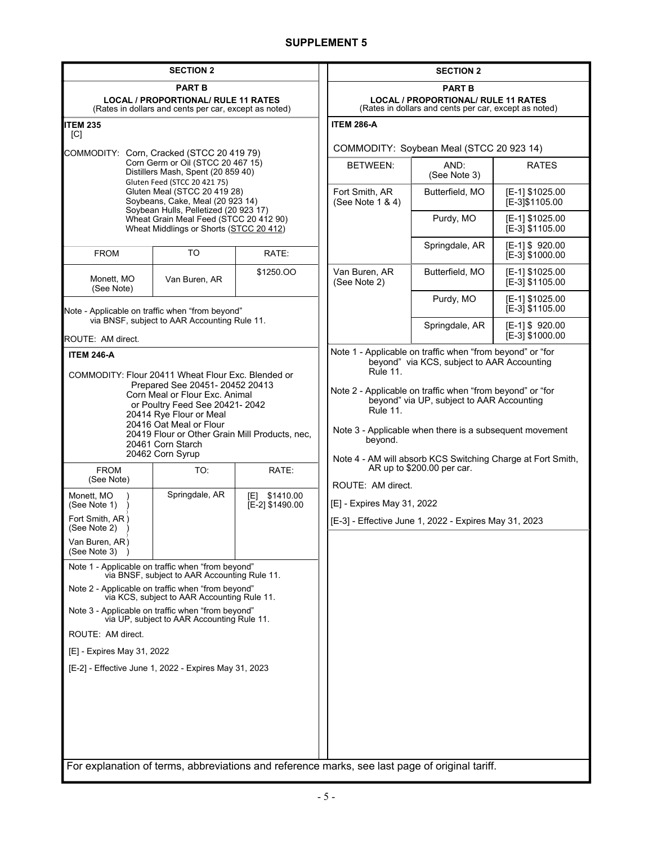| <b>SECTION 2</b>                                                                                                                                                                                                                                                                                           |                                                                                                                                                  | <b>SECTION 2</b>                                                                                                                                                                                                                                                                                                                |                                                                                                |                                                       |                                    |  |
|------------------------------------------------------------------------------------------------------------------------------------------------------------------------------------------------------------------------------------------------------------------------------------------------------------|--------------------------------------------------------------------------------------------------------------------------------------------------|---------------------------------------------------------------------------------------------------------------------------------------------------------------------------------------------------------------------------------------------------------------------------------------------------------------------------------|------------------------------------------------------------------------------------------------|-------------------------------------------------------|------------------------------------|--|
| <b>PART B</b><br><b>LOCAL / PROPORTIONAL/ RULE 11 RATES</b><br>(Rates in dollars and cents per car, except as noted)                                                                                                                                                                                       |                                                                                                                                                  | <b>PART B</b><br><b>LOCAL / PROPORTIONAL/ RULE 11 RATES</b><br>(Rates in dollars and cents per car, except as noted)                                                                                                                                                                                                            |                                                                                                |                                                       |                                    |  |
| ITEM 235                                                                                                                                                                                                                                                                                                   |                                                                                                                                                  |                                                                                                                                                                                                                                                                                                                                 | <b>ITEM 286-A</b>                                                                              |                                                       |                                    |  |
| [C]<br>COMMODITY: Corn, Cracked (STCC 20 419 79)                                                                                                                                                                                                                                                           |                                                                                                                                                  | COMMODITY: Soybean Meal (STCC 20 923 14)                                                                                                                                                                                                                                                                                        |                                                                                                |                                                       |                                    |  |
| Corn Germ or Oil (STCC 20 467 15)<br>Distillers Mash, Spent (20 859 40)<br>Gluten Feed (STCC 20 421 75)<br>Gluten Meal (STCC 20 419 28)<br>Soybeans, Cake, Meal (20 923 14)<br>Soybean Hulls, Pelletized (20 923 17)<br>Wheat Grain Meal Feed (STCC 20 412 90)<br>Wheat Middlings or Shorts (STCC 20 412)  |                                                                                                                                                  | <b>BETWEEN:</b>                                                                                                                                                                                                                                                                                                                 | AND:<br>(See Note 3)                                                                           | <b>RATES</b>                                          |                                    |  |
|                                                                                                                                                                                                                                                                                                            |                                                                                                                                                  | Fort Smith, AR<br>(See Note 1 & 4)                                                                                                                                                                                                                                                                                              | Butterfield, MO                                                                                | [E-1] \$1025.00<br>[E-3]\$1105.00                     |                                    |  |
|                                                                                                                                                                                                                                                                                                            |                                                                                                                                                  |                                                                                                                                                                                                                                                                                                                                 | Purdy, MO                                                                                      | [E-1] \$1025.00<br>[E-3] \$1105.00                    |                                    |  |
| <b>FROM</b>                                                                                                                                                                                                                                                                                                | <b>TO</b>                                                                                                                                        | RATE:                                                                                                                                                                                                                                                                                                                           |                                                                                                | Springdale, AR                                        | [E-1] \$920.00<br>[E-3] \$1000.00  |  |
| Monett, MO<br>(See Note)                                                                                                                                                                                                                                                                                   | Van Buren, AR                                                                                                                                    | \$1250.00                                                                                                                                                                                                                                                                                                                       | Van Buren, AR<br>(See Note 2)                                                                  | Butterfield, MO                                       | [E-1] \$1025.00<br>[E-3] \$1105.00 |  |
| Note - Applicable on traffic when "from beyond"                                                                                                                                                                                                                                                            |                                                                                                                                                  |                                                                                                                                                                                                                                                                                                                                 | Purdy, MO                                                                                      | [E-1] \$1025.00<br>[E-3] \$1105.00                    |                                    |  |
| ROUTE: AM direct.                                                                                                                                                                                                                                                                                          | via BNSF, subject to AAR Accounting Rule 11.                                                                                                     |                                                                                                                                                                                                                                                                                                                                 |                                                                                                | Springdale, AR                                        | [E-1] \$920.00<br>[E-3] \$1000.00  |  |
| COMMODITY: Flour 20411 Wheat Flour Exc. Blended or<br>Prepared See 20451- 20452 20413<br>Corn Meal or Flour Exc. Animal<br>or Poultry Feed See 20421-2042<br>20414 Rye Flour or Meal<br>20416 Oat Meal or Flour<br>20419 Flour or Other Grain Mill Products, nec,<br>20461 Corn Starch<br>20462 Corn Syrup |                                                                                                                                                  | beyond" via KCS, subject to AAR Accounting<br><b>Rule 11.</b><br>Note 2 - Applicable on traffic when "from beyond" or "for<br>beyond" via UP, subject to AAR Accounting<br><b>Rule 11.</b><br>Note 3 - Applicable when there is a subsequent movement<br>beyond.<br>Note 4 - AM will absorb KCS Switching Charge at Fort Smith, |                                                                                                |                                                       |                                    |  |
| <b>FROM</b><br>(See Note)                                                                                                                                                                                                                                                                                  | TO:                                                                                                                                              | RATE:                                                                                                                                                                                                                                                                                                                           | AR up to \$200.00 per car.                                                                     |                                                       |                                    |  |
| Monett, MO<br>(See Note 1)<br>Fort Smith, AR)<br>(See Note 2)<br>Van Buren, AR)<br>(See Note 3)                                                                                                                                                                                                            | Springdale, AR                                                                                                                                   | \$1410.00<br>[E]<br>[E-2] \$1490.00                                                                                                                                                                                                                                                                                             | ROUTE: AM direct.<br>[E] - Expires May 31, 2022                                                | [E-3] - Effective June 1, 2022 - Expires May 31, 2023 |                                    |  |
| Note 1 - Applicable on traffic when "from beyond"                                                                                                                                                                                                                                                          |                                                                                                                                                  |                                                                                                                                                                                                                                                                                                                                 |                                                                                                |                                                       |                                    |  |
|                                                                                                                                                                                                                                                                                                            | via BNSF, subject to AAR Accounting Rule 11.<br>Note 2 - Applicable on traffic when "from beyond"<br>via KCS, subject to AAR Accounting Rule 11. |                                                                                                                                                                                                                                                                                                                                 |                                                                                                |                                                       |                                    |  |
| Note 3 - Applicable on traffic when "from beyond"<br>via UP, subject to AAR Accounting Rule 11.                                                                                                                                                                                                            |                                                                                                                                                  |                                                                                                                                                                                                                                                                                                                                 |                                                                                                |                                                       |                                    |  |
| ROUTE: AM direct.                                                                                                                                                                                                                                                                                          |                                                                                                                                                  |                                                                                                                                                                                                                                                                                                                                 |                                                                                                |                                                       |                                    |  |
| [E] - Expires May 31, 2022                                                                                                                                                                                                                                                                                 |                                                                                                                                                  |                                                                                                                                                                                                                                                                                                                                 |                                                                                                |                                                       |                                    |  |
| [E-2] - Effective June 1, 2022 - Expires May 31, 2023                                                                                                                                                                                                                                                      |                                                                                                                                                  |                                                                                                                                                                                                                                                                                                                                 |                                                                                                |                                                       |                                    |  |
|                                                                                                                                                                                                                                                                                                            |                                                                                                                                                  |                                                                                                                                                                                                                                                                                                                                 | For explanation of terms, abbreviations and reference marks, see last page of original tariff. |                                                       |                                    |  |